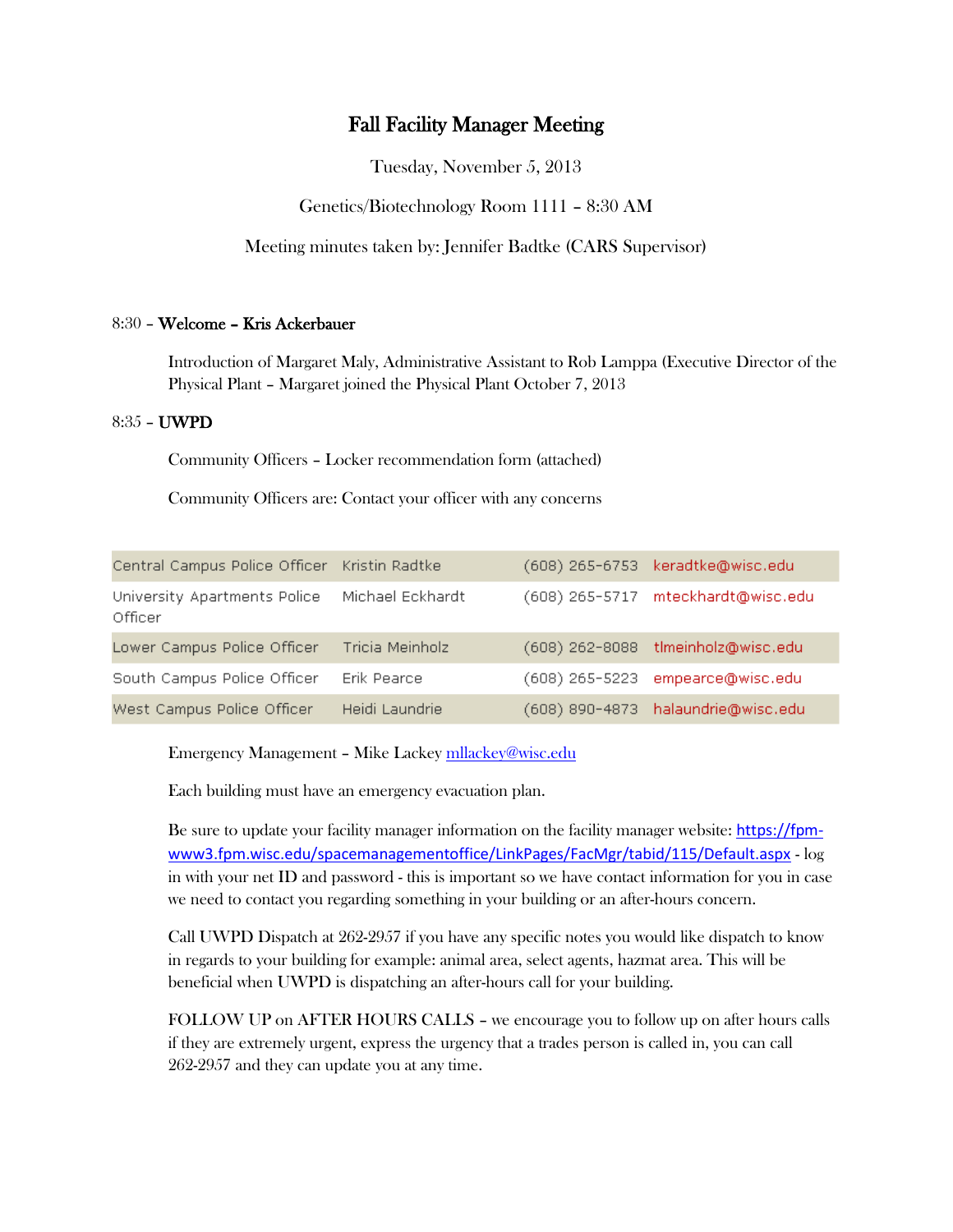# Fall Facility Manager Meeting

Tuesday, November 5, 2013

Genetics/Biotechnology Room 1111 – 8:30 AM

Meeting minutes taken by: Jennifer Badtke (CARS Supervisor)

## 8:30 – Welcome – Kris Ackerbauer

Introduction of Margaret Maly, Administrative Assistant to Rob Lamppa (Executive Director of the Physical Plant – Margaret joined the Physical Plant October 7, 2013

#### 8:35 – UWPD

Community Officers – Locker recommendation form (attached)

Community Officers are: Contact your officer with any concerns

| Central Campus Police Officer Kristin Radtke             |                 |                  | (608) 265-6753 keradtke@wisc.edu   |
|----------------------------------------------------------|-----------------|------------------|------------------------------------|
| University Apartments Police Michael Eckhardt<br>Officer |                 |                  | (608) 265-5717 mteckhardt@wisc.edu |
| Lower Campus Police Officer                              | Tricia Meinholz |                  | (608) 262-8088 tlmeinholz@wisc.edu |
| South Campus Police Officer                              | Erik Pearce     | $(608)$ 265-5223 | empearce@wisc.edu                  |
| West Campus Police Officer                               | Heidi Laundrie  |                  | (608) 890-4873 halaundrie@wisc.edu |

Emergency Management – Mike Lacke[y mllackey@wisc.edu](mailto:mllackey@wisc.edu)

Each building must have an emergency evacuation plan.

Be sure to update your facility manager information on the facility manager website: [https://fpm](https://fpm-www3.fpm.wisc.edu/spacemanagementoffice/LinkPages/FacMgr/tabid/115/Default.aspx)[www3.fpm.wisc.edu/spacemanagementoffice/LinkPages/FacMgr/tabid/115/Default.aspx](https://fpm-www3.fpm.wisc.edu/spacemanagementoffice/LinkPages/FacMgr/tabid/115/Default.aspx) - log in with your net ID and password - this is important so we have contact information for you in case we need to contact you regarding something in your building or an after-hours concern.

Call UWPD Dispatch at 262-2957 if you have any specific notes you would like dispatch to know in regards to your building for example: animal area, select agents, hazmat area. This will be beneficial when UWPD is dispatching an after-hours call for your building.

FOLLOW UP on AFTER HOURS CALLS – we encourage you to follow up on after hours calls if they are extremely urgent, express the urgency that a trades person is called in, you can call 262-2957 and they can update you at any time.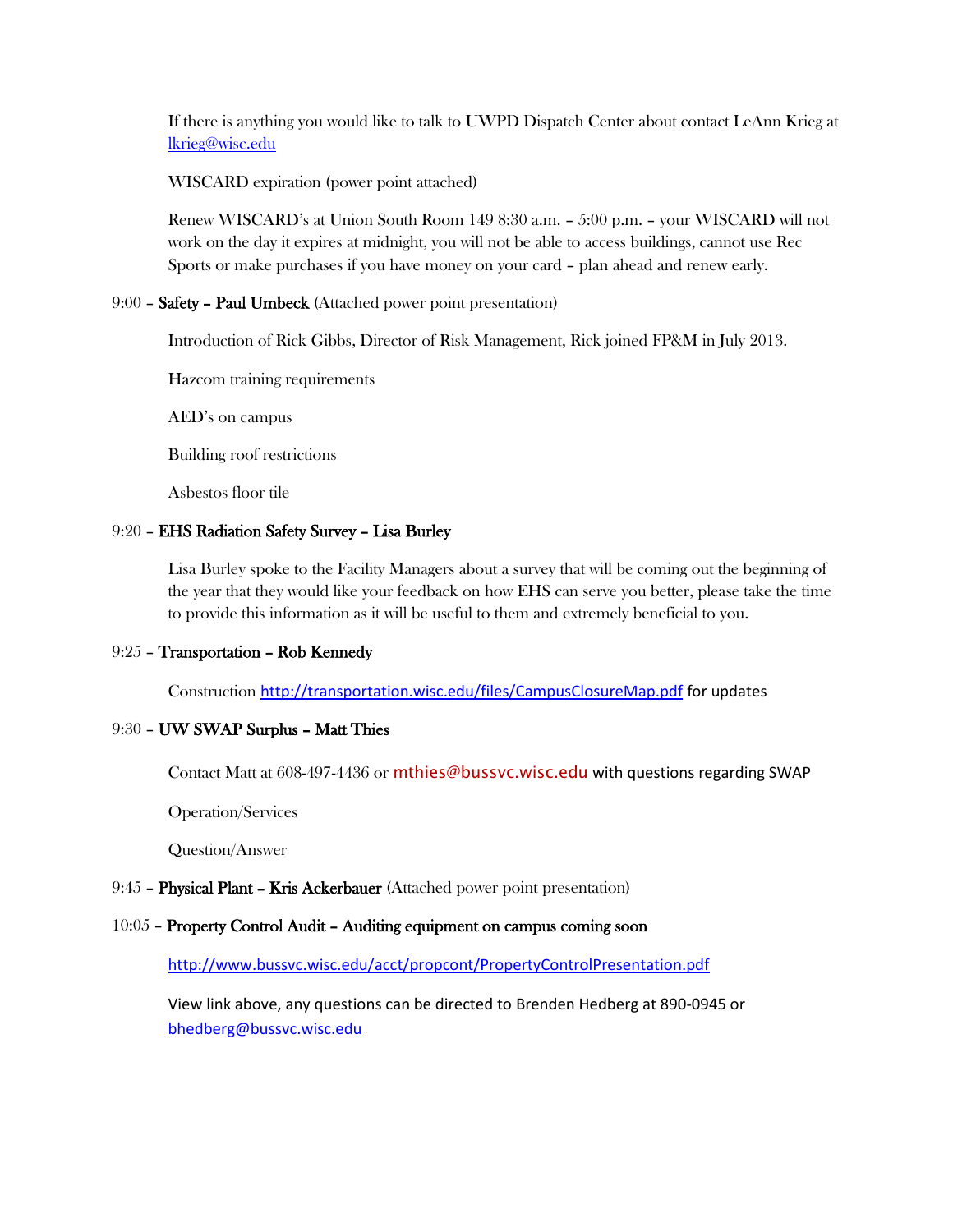If there is anything you would like to talk to UWPD Dispatch Center about contact LeAnn Krieg at [lkrieg@wisc.edu](mailto:lkrieg@wisc.edu)

WISCARD expiration (power point attached)

Renew WISCARD's at Union South Room 149 8:30 a.m. – 5:00 p.m. – your WISCARD will not work on the day it expires at midnight, you will not be able to access buildings, cannot use Rec Sports or make purchases if you have money on your card – plan ahead and renew early.

#### 9:00 – Safety – Paul Umbeck (Attached power point presentation)

Introduction of Rick Gibbs, Director of Risk Management, Rick joined FP&M in July 2013.

Hazcom training requirements

AED's on campus

Building roof restrictions

Asbestos floor tile

#### 9:20 – EHS Radiation Safety Survey – Lisa Burley

Lisa Burley spoke to the Facility Managers about a survey that will be coming out the beginning of the year that they would like your feedback on how EHS can serve you better, please take the time to provide this information as it will be useful to them and extremely beneficial to you.

## 9:25 – Transportation – Rob Kennedy

Construction <http://transportation.wisc.edu/files/CampusClosureMap.pdf> for updates

# 9:30 – UW SWAP Surplus – Matt Thies

Contact Matt at 608-497-4436 or [mthies@bussvc.wisc.edu](mailto:mthies@bussvc.wisc.edu) with questions regarding SWAP

Operation/Services

Question/Answer

#### 9:45 – Physical Plant – Kris Ackerbauer (Attached power point presentation)

# 10:05 – Property Control Audit – Auditing equipment on campus coming soon

<http://www.bussvc.wisc.edu/acct/propcont/PropertyControlPresentation.pdf>

View link above, any questions can be directed to Brenden Hedberg at 890-0945 or [bhedberg@bussvc.wisc.edu](mailto:bhedberg@bussvc.wisc.edu)